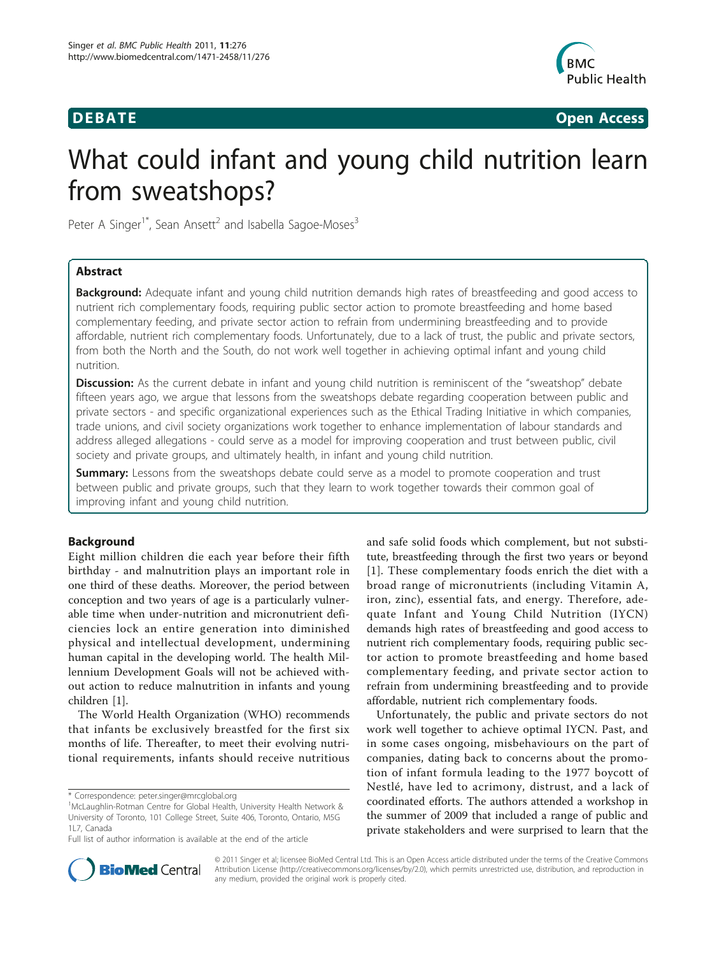

**DEBATE CONSIDERENT CONSIDERED ACCESS** 

# What could infant and young child nutrition learn from sweatshops?

Peter A Singer<sup>1\*</sup>, Sean Ansett<sup>2</sup> and Isabella Sagoe-Moses<sup>3</sup>

# Abstract

**Background:** Adequate infant and young child nutrition demands high rates of breastfeeding and good access to nutrient rich complementary foods, requiring public sector action to promote breastfeeding and home based complementary feeding, and private sector action to refrain from undermining breastfeeding and to provide affordable, nutrient rich complementary foods. Unfortunately, due to a lack of trust, the public and private sectors, from both the North and the South, do not work well together in achieving optimal infant and young child nutrition.

Discussion: As the current debate in infant and young child nutrition is reminiscent of the "sweatshop" debate fifteen years ago, we argue that lessons from the sweatshops debate regarding cooperation between public and private sectors - and specific organizational experiences such as the Ethical Trading Initiative in which companies, trade unions, and civil society organizations work together to enhance implementation of labour standards and address alleged allegations - could serve as a model for improving cooperation and trust between public, civil society and private groups, and ultimately health, in infant and young child nutrition.

**Summary:** Lessons from the sweatshops debate could serve as a model to promote cooperation and trust between public and private groups, such that they learn to work together towards their common goal of improving infant and young child nutrition.

# Background

Eight million children die each year before their fifth birthday - and malnutrition plays an important role in one third of these deaths. Moreover, the period between conception and two years of age is a particularly vulnerable time when under-nutrition and micronutrient deficiencies lock an entire generation into diminished physical and intellectual development, undermining human capital in the developing world. The health Millennium Development Goals will not be achieved without action to reduce malnutrition in infants and young children [\[1](#page-4-0)].

The World Health Organization (WHO) recommends that infants be exclusively breastfed for the first six months of life. Thereafter, to meet their evolving nutritional requirements, infants should receive nutritious and safe solid foods which complement, but not substitute, breastfeeding through the first two years or beyond [[1](#page-4-0)]. These complementary foods enrich the diet with a broad range of micronutrients (including Vitamin A, iron, zinc), essential fats, and energy. Therefore, adequate Infant and Young Child Nutrition (IYCN) demands high rates of breastfeeding and good access to nutrient rich complementary foods, requiring public sector action to promote breastfeeding and home based complementary feeding, and private sector action to refrain from undermining breastfeeding and to provide affordable, nutrient rich complementary foods.

Unfortunately, the public and private sectors do not work well together to achieve optimal IYCN. Past, and in some cases ongoing, misbehaviours on the part of companies, dating back to concerns about the promotion of infant formula leading to the 1977 boycott of Nestlé, have led to acrimony, distrust, and a lack of coordinated efforts. The authors attended a workshop in the summer of 2009 that included a range of public and private stakeholders and were surprised to learn that the



© 2011 Singer et al; licensee BioMed Central Ltd. This is an Open Access article distributed under the terms of the Creative Commons Attribution License [\(http://creativecommons.org/licenses/by/2.0](http://creativecommons.org/licenses/by/2.0)), which permits unrestricted use, distribution, and reproduction in any medium, provided the original work is properly cited.

<sup>\*</sup> Correspondence: [peter.singer@mrcglobal.org](mailto:peter.singer@mrcglobal.org)

<sup>&</sup>lt;sup>1</sup>McLaughlin-Rotman Centre for Global Health, University Health Network & University of Toronto, 101 College Street, Suite 406, Toronto, Ontario, M5G 1L7, Canada

Full list of author information is available at the end of the article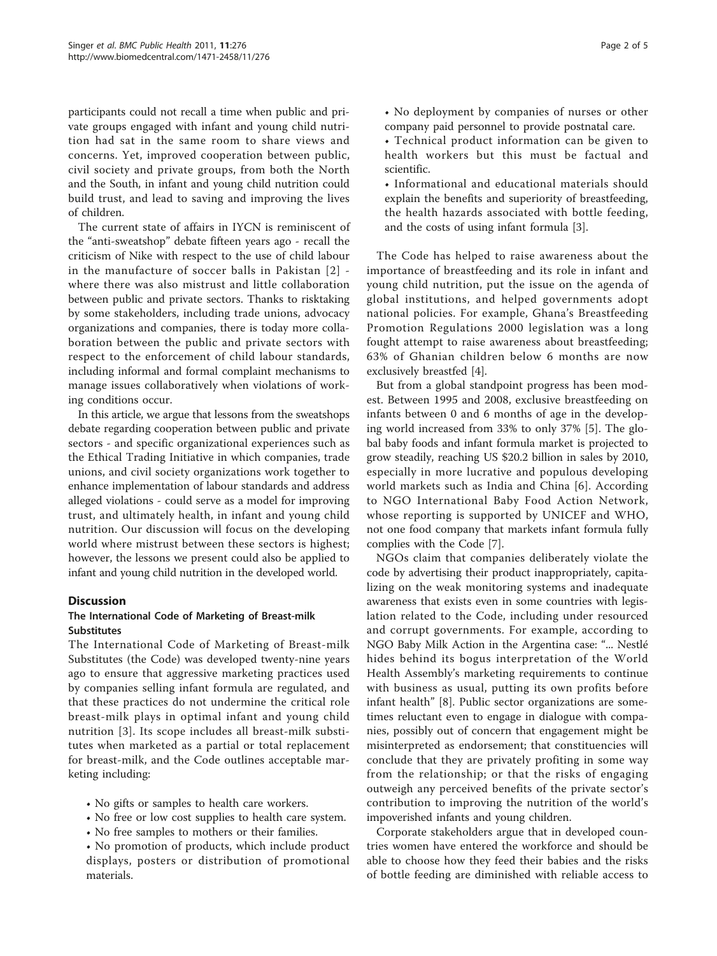participants could not recall a time when public and private groups engaged with infant and young child nutrition had sat in the same room to share views and concerns. Yet, improved cooperation between public, civil society and private groups, from both the North and the South, in infant and young child nutrition could build trust, and lead to saving and improving the lives of children.

The current state of affairs in IYCN is reminiscent of the "anti-sweatshop" debate fifteen years ago - recall the criticism of Nike with respect to the use of child labour in the manufacture of soccer balls in Pakistan [[2\]](#page-4-0) where there was also mistrust and little collaboration between public and private sectors. Thanks to risktaking by some stakeholders, including trade unions, advocacy organizations and companies, there is today more collaboration between the public and private sectors with respect to the enforcement of child labour standards, including informal and formal complaint mechanisms to manage issues collaboratively when violations of working conditions occur.

In this article, we argue that lessons from the sweatshops debate regarding cooperation between public and private sectors - and specific organizational experiences such as the Ethical Trading Initiative in which companies, trade unions, and civil society organizations work together to enhance implementation of labour standards and address alleged violations - could serve as a model for improving trust, and ultimately health, in infant and young child nutrition. Our discussion will focus on the developing world where mistrust between these sectors is highest; however, the lessons we present could also be applied to infant and young child nutrition in the developed world.

# **Discussion**

# The International Code of Marketing of Breast-milk **Substitutes**

The International Code of Marketing of Breast-milk Substitutes (the Code) was developed twenty-nine years ago to ensure that aggressive marketing practices used by companies selling infant formula are regulated, and that these practices do not undermine the critical role breast-milk plays in optimal infant and young child nutrition [[3\]](#page-4-0). Its scope includes all breast-milk substitutes when marketed as a partial or total replacement for breast-milk, and the Code outlines acceptable marketing including:

- No gifts or samples to health care workers.
- No free or low cost supplies to health care system.
- No free samples to mothers or their families.

• No promotion of products, which include product displays, posters or distribution of promotional materials.

- No deployment by companies of nurses or other company paid personnel to provide postnatal care.
- Technical product information can be given to health workers but this must be factual and scientific.
- Informational and educational materials should explain the benefits and superiority of breastfeeding, the health hazards associated with bottle feeding, and the costs of using infant formula [[3\]](#page-4-0).

The Code has helped to raise awareness about the importance of breastfeeding and its role in infant and young child nutrition, put the issue on the agenda of global institutions, and helped governments adopt national policies. For example, Ghana's Breastfeeding Promotion Regulations 2000 legislation was a long fought attempt to raise awareness about breastfeeding; 63% of Ghanian children below 6 months are now exclusively breastfed [[4\]](#page-4-0).

But from a global standpoint progress has been modest. Between 1995 and 2008, exclusive breastfeeding on infants between 0 and 6 months of age in the developing world increased from 33% to only 37% [\[5](#page-4-0)]. The global baby foods and infant formula market is projected to grow steadily, reaching US \$20.2 billion in sales by 2010, especially in more lucrative and populous developing world markets such as India and China [[6\]](#page-4-0). According to NGO International Baby Food Action Network, whose reporting is supported by UNICEF and WHO, not one food company that markets infant formula fully complies with the Code [[7\]](#page-4-0).

NGOs claim that companies deliberately violate the code by advertising their product inappropriately, capitalizing on the weak monitoring systems and inadequate awareness that exists even in some countries with legislation related to the Code, including under resourced and corrupt governments. For example, according to NGO Baby Milk Action in the Argentina case: "... Nestlé hides behind its bogus interpretation of the World Health Assembly's marketing requirements to continue with business as usual, putting its own profits before infant health" [[8\]](#page-4-0). Public sector organizations are sometimes reluctant even to engage in dialogue with companies, possibly out of concern that engagement might be misinterpreted as endorsement; that constituencies will conclude that they are privately profiting in some way from the relationship; or that the risks of engaging outweigh any perceived benefits of the private sector's contribution to improving the nutrition of the world's impoverished infants and young children.

Corporate stakeholders argue that in developed countries women have entered the workforce and should be able to choose how they feed their babies and the risks of bottle feeding are diminished with reliable access to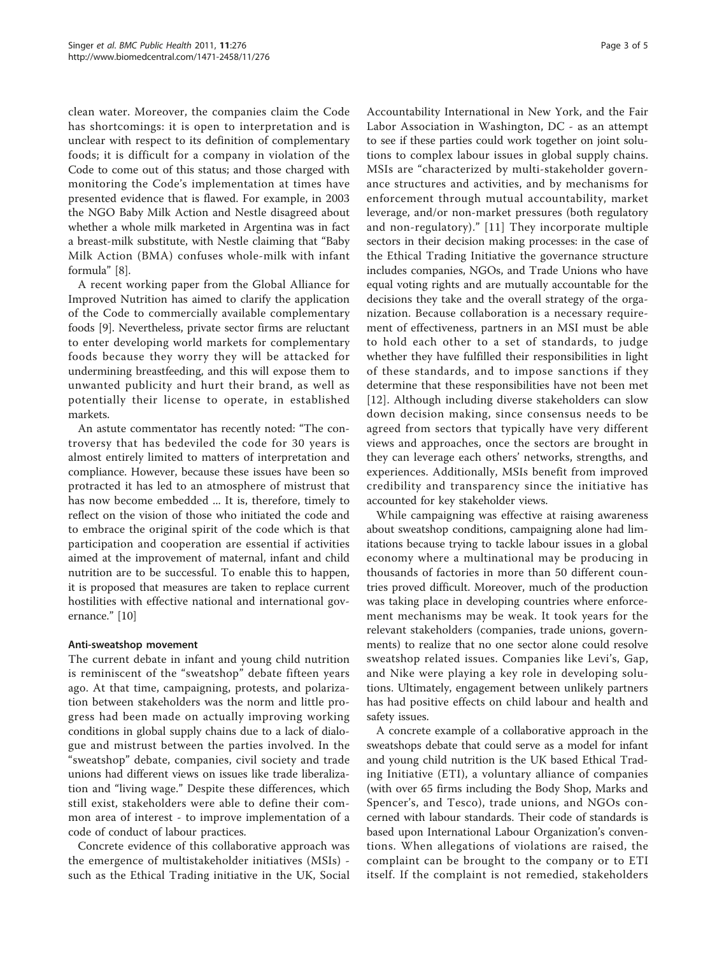clean water. Moreover, the companies claim the Code has shortcomings: it is open to interpretation and is unclear with respect to its definition of complementary foods; it is difficult for a company in violation of the Code to come out of this status; and those charged with monitoring the Code's implementation at times have presented evidence that is flawed. For example, in 2003 the NGO Baby Milk Action and Nestle disagreed about whether a whole milk marketed in Argentina was in fact a breast-milk substitute, with Nestle claiming that "Baby Milk Action (BMA) confuses whole-milk with infant formula" [[8](#page-4-0)].

A recent working paper from the Global Alliance for Improved Nutrition has aimed to clarify the application of the Code to commercially available complementary foods [\[9\]](#page-4-0). Nevertheless, private sector firms are reluctant to enter developing world markets for complementary foods because they worry they will be attacked for undermining breastfeeding, and this will expose them to unwanted publicity and hurt their brand, as well as potentially their license to operate, in established markets.

An astute commentator has recently noted: "The controversy that has bedeviled the code for 30 years is almost entirely limited to matters of interpretation and compliance. However, because these issues have been so protracted it has led to an atmosphere of mistrust that has now become embedded ... It is, therefore, timely to reflect on the vision of those who initiated the code and to embrace the original spirit of the code which is that participation and cooperation are essential if activities aimed at the improvement of maternal, infant and child nutrition are to be successful. To enable this to happen, it is proposed that measures are taken to replace current hostilities with effective national and international governance." [[10](#page-4-0)]

# Anti-sweatshop movement

The current debate in infant and young child nutrition is reminiscent of the "sweatshop" debate fifteen years ago. At that time, campaigning, protests, and polarization between stakeholders was the norm and little progress had been made on actually improving working conditions in global supply chains due to a lack of dialogue and mistrust between the parties involved. In the "sweatshop" debate, companies, civil society and trade unions had different views on issues like trade liberalization and "living wage." Despite these differences, which still exist, stakeholders were able to define their common area of interest - to improve implementation of a code of conduct of labour practices.

Concrete evidence of this collaborative approach was the emergence of multistakeholder initiatives (MSIs) such as the Ethical Trading initiative in the UK, Social Accountability International in New York, and the Fair Labor Association in Washington, DC - as an attempt to see if these parties could work together on joint solutions to complex labour issues in global supply chains. MSIs are "characterized by multi-stakeholder governance structures and activities, and by mechanisms for enforcement through mutual accountability, market leverage, and/or non-market pressures (both regulatory and non-regulatory)." [[11](#page-4-0)] They incorporate multiple sectors in their decision making processes: in the case of the Ethical Trading Initiative the governance structure includes companies, NGOs, and Trade Unions who have equal voting rights and are mutually accountable for the decisions they take and the overall strategy of the organization. Because collaboration is a necessary requirement of effectiveness, partners in an MSI must be able to hold each other to a set of standards, to judge whether they have fulfilled their responsibilities in light of these standards, and to impose sanctions if they determine that these responsibilities have not been met [[12](#page-4-0)]. Although including diverse stakeholders can slow down decision making, since consensus needs to be agreed from sectors that typically have very different views and approaches, once the sectors are brought in they can leverage each others' networks, strengths, and experiences. Additionally, MSIs benefit from improved credibility and transparency since the initiative has accounted for key stakeholder views.

While campaigning was effective at raising awareness about sweatshop conditions, campaigning alone had limitations because trying to tackle labour issues in a global economy where a multinational may be producing in thousands of factories in more than 50 different countries proved difficult. Moreover, much of the production was taking place in developing countries where enforcement mechanisms may be weak. It took years for the relevant stakeholders (companies, trade unions, governments) to realize that no one sector alone could resolve sweatshop related issues. Companies like Levi's, Gap, and Nike were playing a key role in developing solutions. Ultimately, engagement between unlikely partners has had positive effects on child labour and health and safety issues.

A concrete example of a collaborative approach in the sweatshops debate that could serve as a model for infant and young child nutrition is the UK based Ethical Trading Initiative (ETI), a voluntary alliance of companies (with over 65 firms including the Body Shop, Marks and Spencer's, and Tesco), trade unions, and NGOs concerned with labour standards. Their code of standards is based upon International Labour Organization's conventions. When allegations of violations are raised, the complaint can be brought to the company or to ETI itself. If the complaint is not remedied, stakeholders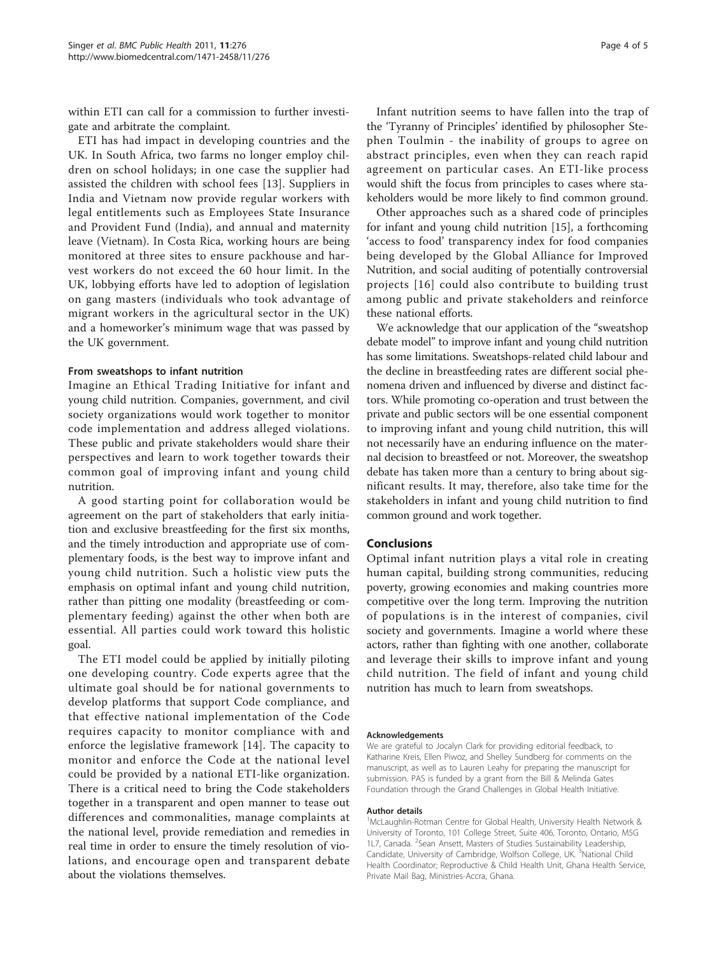within ETI can call for a commission to further investigate and arbitrate the complaint.

ETI has had impact in developing countries and the UK. In South Africa, two farms no longer employ children on school holidays; in one case the supplier had assisted the children with school fees [\[13](#page-4-0)]. Suppliers in India and Vietnam now provide regular workers with legal entitlements such as Employees State Insurance and Provident Fund (India), and annual and maternity leave (Vietnam). In Costa Rica, working hours are being monitored at three sites to ensure packhouse and harvest workers do not exceed the 60 hour limit. In the UK, lobbying efforts have led to adoption of legislation on gang masters (individuals who took advantage of migrant workers in the agricultural sector in the UK) and a homeworker's minimum wage that was passed by the UK government.

## From sweatshops to infant nutrition

Imagine an Ethical Trading Initiative for infant and young child nutrition. Companies, government, and civil society organizations would work together to monitor code implementation and address alleged violations. These public and private stakeholders would share their perspectives and learn to work together towards their common goal of improving infant and young child nutrition.

A good starting point for collaboration would be agreement on the part of stakeholders that early initiation and exclusive breastfeeding for the first six months, and the timely introduction and appropriate use of complementary foods, is the best way to improve infant and young child nutrition. Such a holistic view puts the emphasis on optimal infant and young child nutrition, rather than pitting one modality (breastfeeding or complementary feeding) against the other when both are essential. All parties could work toward this holistic goal.

The ETI model could be applied by initially piloting one developing country. Code experts agree that the ultimate goal should be for national governments to develop platforms that support Code compliance, and that effective national implementation of the Code requires capacity to monitor compliance with and enforce the legislative framework [[14](#page-4-0)]. The capacity to monitor and enforce the Code at the national level could be provided by a national ETI-like organization. There is a critical need to bring the Code stakeholders together in a transparent and open manner to tease out differences and commonalities, manage complaints at the national level, provide remediation and remedies in real time in order to ensure the timely resolution of violations, and encourage open and transparent debate about the violations themselves.

Infant nutrition seems to have fallen into the trap of the 'Tyranny of Principles' identified by philosopher Stephen Toulmin - the inability of groups to agree on abstract principles, even when they can reach rapid agreement on particular cases. An ETI-like process would shift the focus from principles to cases where stakeholders would be more likely to find common ground.

Other approaches such as a shared code of principles for infant and young child nutrition [\[15](#page-4-0)], a forthcoming 'access to food' transparency index for food companies being developed by the Global Alliance for Improved Nutrition, and social auditing of potentially controversial projects [[16](#page-4-0)] could also contribute to building trust among public and private stakeholders and reinforce these national efforts.

We acknowledge that our application of the "sweatshop debate model" to improve infant and young child nutrition has some limitations. Sweatshops-related child labour and the decline in breastfeeding rates are different social phenomena driven and influenced by diverse and distinct factors. While promoting co-operation and trust between the private and public sectors will be one essential component to improving infant and young child nutrition, this will not necessarily have an enduring influence on the maternal decision to breastfeed or not. Moreover, the sweatshop debate has taken more than a century to bring about significant results. It may, therefore, also take time for the stakeholders in infant and young child nutrition to find common ground and work together.

### Conclusions

Optimal infant nutrition plays a vital role in creating human capital, building strong communities, reducing poverty, growing economies and making countries more competitive over the long term. Improving the nutrition of populations is in the interest of companies, civil society and governments. Imagine a world where these actors, rather than fighting with one another, collaborate and leverage their skills to improve infant and young child nutrition. The field of infant and young child nutrition has much to learn from sweatshops.

#### Acknowledgements

We are grateful to Jocalyn Clark for providing editorial feedback, to Katharine Kreis, Ellen Piwoz, and Shelley Sundberg for comments on the manuscript, as well as to Lauren Leahy for preparing the manuscript for submission. PAS is funded by a grant from the Bill & Melinda Gates Foundation through the Grand Challenges in Global Health Initiative.

#### Author details

<sup>1</sup>McLaughlin-Rotman Centre for Global Health, University Health Network & University of Toronto, 101 College Street, Suite 406, Toronto, Ontario, M5G 1L7, Canada. <sup>2</sup>Sean Ansett, Masters of Studies Sustainability Leadership Candidate, University of Cambridge, Wolfson College, UK.<sup>3</sup>National Child Health Coordinator; Reproductive & Child Health Unit, Ghana Health Service, Private Mail Bag, Ministries-Accra, Ghana.